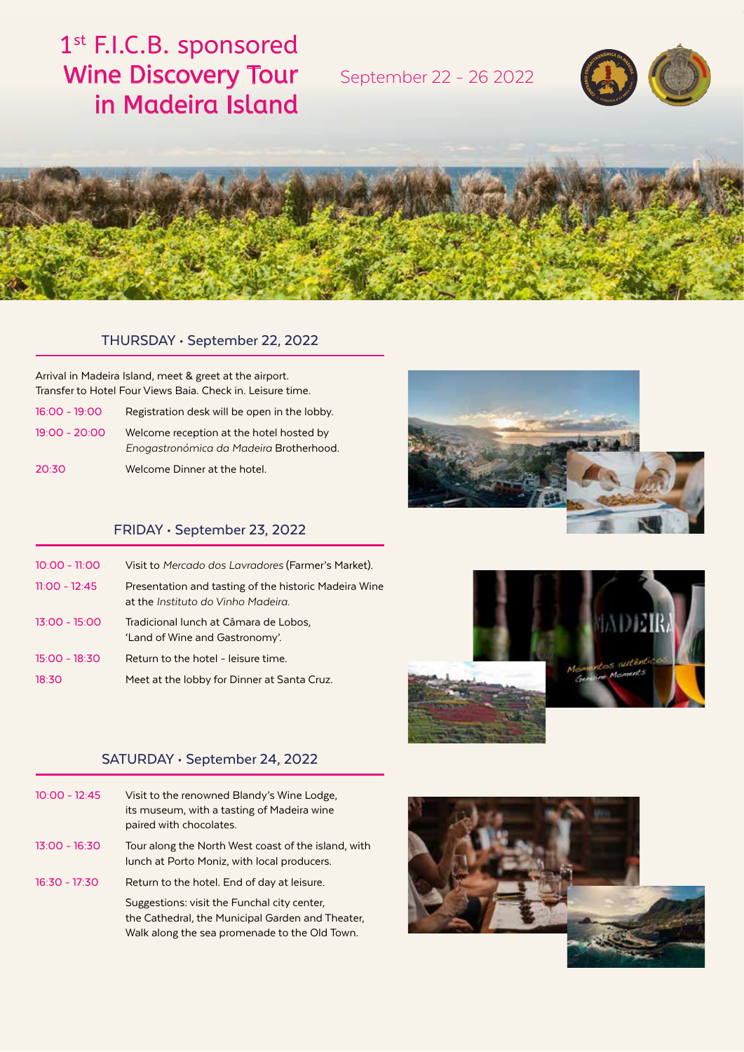# 1<sup>st</sup> F.I.C.B. sponsored Wine Discovery Tour in Madeira Island

September 22 - 26 2022





### THURSDAY • September 22, 2022

Arrival in Madeira Island, meet & greet at the airport. Transfer to Hotel Four Views Baia. Check in. Leisure time.

| $16:00 - 19:00$ | Registration desk will be open in the lobby. |
|-----------------|----------------------------------------------|
| $19:00 - 20:00$ | Welcome reception at the hotel hosted by     |
|                 | Enogastronómica da Madeira Brotherhood.      |

20:30 Welcome Dinner at the hotel.

## FRIDAY • September 23, 2022

| $10:00 - 11:00$ | Visit to Mercado dos Lavradores (Farmer's Market).                                          |
|-----------------|---------------------------------------------------------------------------------------------|
| $11:00 - 12:45$ | Presentation and tasting of the historic Madeira Wine<br>at the Instituto do Vinho Madeira. |
| $13:00 - 15:00$ | Tradicional lunch at Câmara de Lobos,<br>'Land of Wine and Gastronomy'.                     |
| $15:00 - 18:30$ | Return to the hotel - leisure time.                                                         |
| 18:30           | Meet at the lobby for Dinner at Santa Cruz.                                                 |



# SATURDAY • September 24, 2022

| $10:00 - 12:45$ | Visit to the renowned Blandy's Wine Lodge,<br>its museum, with a tasting of Madeira wine<br>paired with chocolates.                              |
|-----------------|--------------------------------------------------------------------------------------------------------------------------------------------------|
| $13:00 - 16:30$ | Tour along the North West coast of the island, with<br>lunch at Porto Moniz, with local producers.                                               |
| $16:30 - 17:30$ | Return to the hotel. End of day at leisure.                                                                                                      |
|                 | Suggestions: visit the Funchal city center,<br>the Cathedral, the Municipal Garden and Theater,<br>Walk along the sea promenade to the Old Town. |